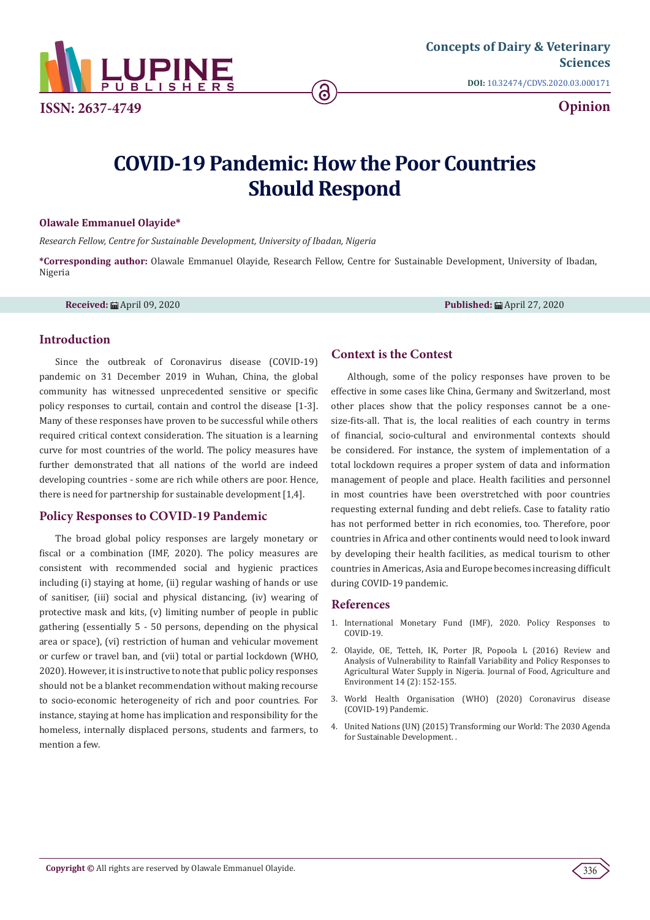

**[Concepts of Dairy & Veterinary](https://lupinepublishers.com/dairy-veterinary-science-journal/) Sciences**

**DOI:** [10.32474/CDVS.2020.03.000171](http://dx.doi.org/10.32474/CDVS.2020.03.000171)

**Opinion**

# **COVID-19 Pandemic: How the Poor Countries Should Respond**

6

### **Olawale Emmanuel Olayide\***

*Research Fellow, Centre for Sustainable Development, University of Ibadan, Nigeria*

**\*Corresponding author:** Olawale Emmanuel Olayide, Research Fellow, Centre for Sustainable Development, University of Ibadan, Nigeria

**Received:** April 09, 2020 **Published:** April 27, 2020

## **Introduction**

Since the outbreak of Coronavirus disease (COVID-19) pandemic on 31 December 2019 in Wuhan, China, the global community has witnessed unprecedented sensitive or specific policy responses to curtail, contain and control the disease [1-3]. Many of these responses have proven to be successful while others required critical context consideration. The situation is a learning curve for most countries of the world. The policy measures have further demonstrated that all nations of the world are indeed developing countries - some are rich while others are poor. Hence, there is need for partnership for sustainable development [1,4].

## **Policy Responses to COVID-19 Pandemic**

The broad global policy responses are largely monetary or fiscal or a combination (IMF, 2020). The policy measures are consistent with recommended social and hygienic practices including (i) staying at home, (ii) regular washing of hands or use of sanitiser, (iii) social and physical distancing, (iv) wearing of protective mask and kits, (v) limiting number of people in public gathering (essentially 5 - 50 persons, depending on the physical area or space), (vi) restriction of human and vehicular movement or curfew or travel ban, and (vii) total or partial lockdown (WHO, 2020). However, it is instructive to note that public policy responses should not be a blanket recommendation without making recourse to socio-economic heterogeneity of rich and poor countries. For instance, staying at home has implication and responsibility for the homeless, internally displaced persons, students and farmers, to mention a few.

# **Context is the Contest**

Although, some of the policy responses have proven to be effective in some cases like China, Germany and Switzerland, most other places show that the policy responses cannot be a onesize-fits-all. That is, the local realities of each country in terms of financial, socio-cultural and environmental contexts should be considered. For instance, the system of implementation of a total lockdown requires a proper system of data and information management of people and place. Health facilities and personnel in most countries have been overstretched with poor countries requesting external funding and debt reliefs. Case to fatality ratio has not performed better in rich economies, too. Therefore, poor countries in Africa and other continents would need to look inward by developing their health facilities, as medical tourism to other countries in Americas, Asia and Europe becomes increasing difficult during COVID-19 pandemic.

## **References**

- 1. [International Monetary Fund \(IMF\), 2020. Policy Responses to](https://www.imf.org/en/Topics/imf-and-covid19/Policy-Responses-to-COVID-19) [COVID-19](https://www.imf.org/en/Topics/imf-and-covid19/Policy-Responses-to-COVID-19).
- 2. Olayide, OE, Tetteh, IK, Porter JR, Popoola L (2016) Review and Analysis of Vulnerability to Rainfall Variability and Policy Responses to Agricultural Water Supply in Nigeria. Journal of Food, Agriculture and Environment 14 (2): 152-155.
- 3. [World Health Organisation \(WHO\) \(2020\) Coronavirus disease](https://www.who.int/emergencies/diseases/novel-coronavirus-2019) [\(COVID-19\) Pandemic.](https://www.who.int/emergencies/diseases/novel-coronavirus-2019)
- 4. [United Nations \(UN\) \(2015\) Transforming our World: The 2030 Agenda](https://sustainabledevelopment.un.org/content/documents/21252030%20Agenda%20for%20Sustainable%20Development%20web.pdf) [for Sustainable Development. .](https://sustainabledevelopment.un.org/content/documents/21252030%20Agenda%20for%20Sustainable%20Development%20web.pdf)